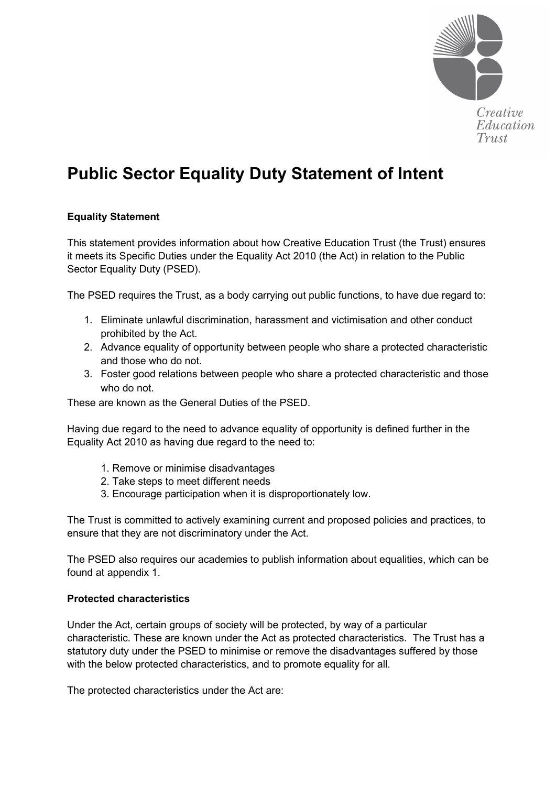

# **Public Sector Equality Duty Statement of Intent**

## **Equality Statement**

This statement provides information about how Creative Education Trust (the Trust) ensures it meets its Specific Duties under the Equality Act 2010 (the Act) in relation to the Public Sector Equality Duty (PSED).

The PSED requires the Trust, as a body carrying out public functions, to have due regard to:

- 1. Eliminate unlawful discrimination, harassment and victimisation and other conduct prohibited by the Act.
- 2. Advance equality of opportunity between people who share a protected characteristic and those who do not.
- 3. Foster good relations between people who share a protected characteristic and those who do not.

These are known as the General Duties of the PSED.

Having due regard to the need to advance equality of opportunity is defined further in the Equality Act 2010 as having due regard to the need to:

- 1. Remove or minimise disadvantages
- 2. Take steps to meet different needs
- 3. Encourage participation when it is disproportionately low.

The Trust is committed to actively examining current and proposed policies and practices, to ensure that they are not discriminatory under the Act.

The PSED also requires our academies to publish information about equalities, which can be found at appendix 1.

## **Protected characteristics**

Under the Act, certain groups of society will be protected, by way of a particular characteristic. These are known under the Act as protected characteristics. The Trust has a statutory duty under the PSED to minimise or remove the disadvantages suffered by those with the below protected characteristics, and to promote equality for all.

The protected characteristics under the Act are: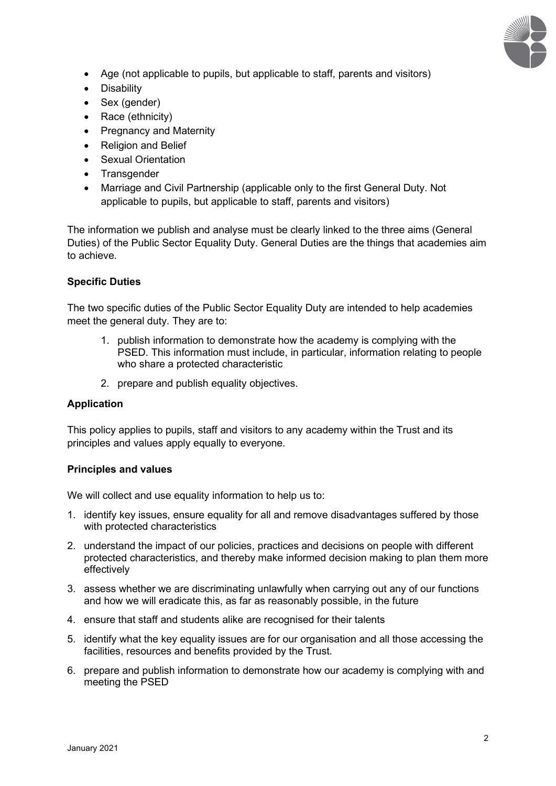

- Age (not applicable to pupils, but applicable to staff, parents and visitors)
- Disability
- Sex (gender)
- Race (ethnicity)
- Pregnancy and Maternity
- Religion and Belief
- Sexual Orientation
- Transgender
- Marriage and Civil Partnership (applicable only to the first General Duty. Not applicable to pupils, but applicable to staff, parents and visitors)

The information we publish and analyse must be clearly linked to the three aims (General Duties) of the Public Sector Equality Duty. General Duties are the things that academies aim to achieve.

#### **Specific Duties**

The two specific duties of the Public Sector Equality Duty are intended to help academies meet the general duty. They are to:

- 1. publish information to demonstrate how the academy is complying with the PSED. This information must include, in particular, information relating to people who share a protected characteristic
- 2. prepare and publish equality objectives.

## **Application**

This policy applies to pupils, staff and visitors to any academy within the Trust and its principles and values apply equally to everyone.

#### **Principles and values**

We will collect and use equality information to help us to:

- 1. identify key issues, ensure equality for all and remove disadvantages suffered by those with protected characteristics
- 2. understand the impact of our policies, practices and decisions on people with different protected characteristics, and thereby make informed decision making to plan them more effectively
- 3. assess whether we are discriminating unlawfully when carrying out any of our functions and how we will eradicate this, as far as reasonably possible, in the future
- 4. ensure that staff and students alike are recognised for their talents
- 5. identify what the key equality issues are for our organisation and all those accessing the facilities, resources and benefits provided by the Trust.
- 6. prepare and publish information to demonstrate how our academy is complying with and meeting the PSED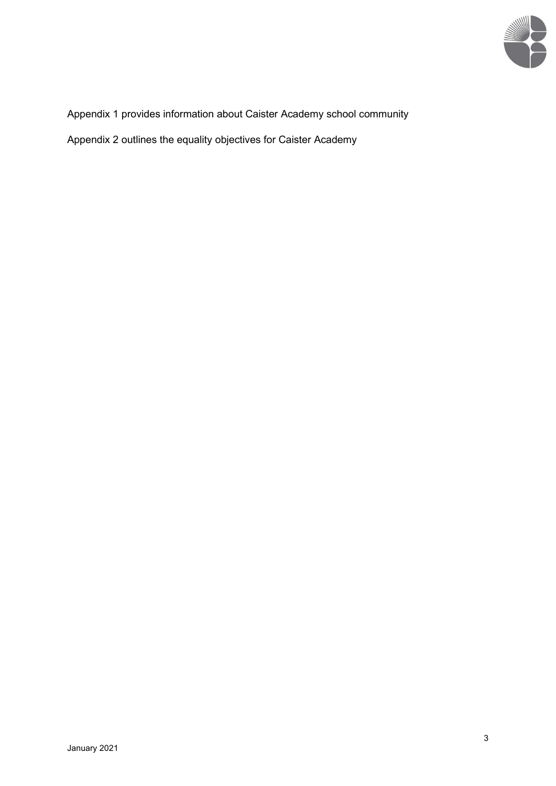

Appendix 1 provides information about Caister Academy school community

Appendix 2 outlines the equality objectives for Caister Academy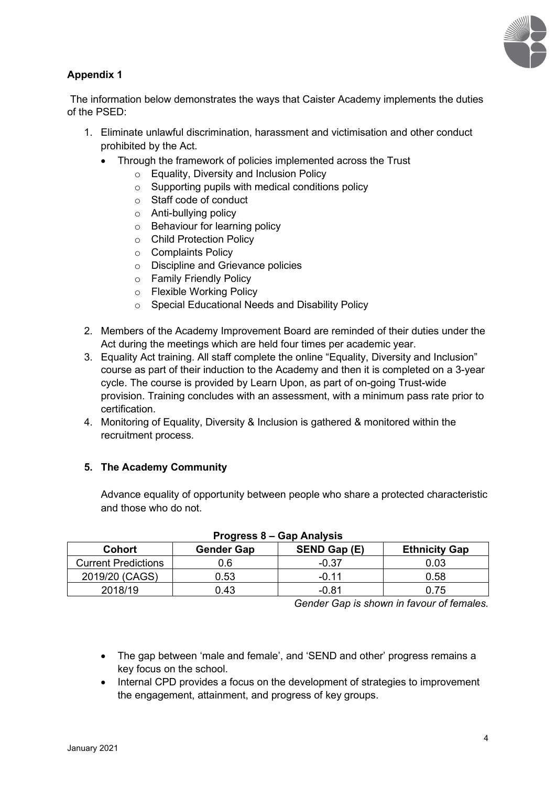

# **Appendix 1**

The information below demonstrates the ways that Caister Academy implements the duties of the PSED:

- 1. Eliminate unlawful discrimination, harassment and victimisation and other conduct prohibited by the Act.
	- Through the framework of policies implemented across the Trust
		- o Equality, Diversity and Inclusion Policy
		- $\circ$  Supporting pupils with medical conditions policy
		- o Staff code of conduct
		- o Anti-bullying policy
		- o Behaviour for learning policy
		- o Child Protection Policy
		- o Complaints Policy
		- o Discipline and Grievance policies
		- o Family Friendly Policy
		- o Flexible Working Policy
		- o Special Educational Needs and Disability Policy
- 2. Members of the Academy Improvement Board are reminded of their duties under the Act during the meetings which are held four times per academic year.
- 3. Equality Act training. All staff complete the online "Equality, Diversity and Inclusion" course as part of their induction to the Academy and then it is completed on a 3-year cycle. The course is provided by Learn Upon, as part of on-going Trust-wide provision. Training concludes with an assessment, with a minimum pass rate prior to certification.
- 4. Monitoring of Equality, Diversity & Inclusion is gathered & monitored within the recruitment process.

# **5. The Academy Community**

Advance equality of opportunity between people who share a protected characteristic and those who do not.

| Cohort                     | <b>Gender Gap</b> | SEND Gap (E) | <b>Ethnicity Gap</b> |
|----------------------------|-------------------|--------------|----------------------|
| <b>Current Predictions</b> | 0.6               | $-0.37$      | 0.03                 |
| 2019/20 (CAGS)             | 0.53              | -0.11        | 0.58                 |
| 2018/19                    | 0.43              | -0.81        | 0.75                 |

# **Progress 8 – Gap Analysis**

*Gender Gap is shown in favour of females.*

- The gap between 'male and female', and 'SEND and other' progress remains a key focus on the school.
- Internal CPD provides a focus on the development of strategies to improvement the engagement, attainment, and progress of key groups.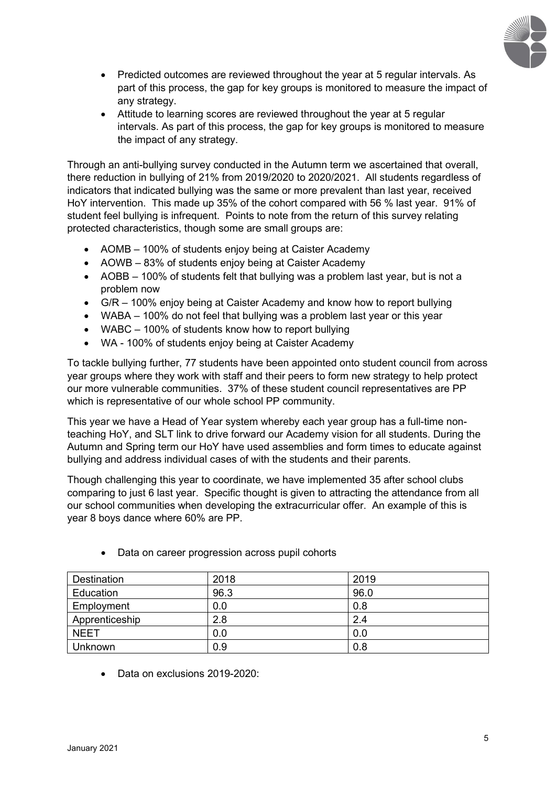

- Predicted outcomes are reviewed throughout the year at 5 regular intervals. As part of this process, the gap for key groups is monitored to measure the impact of any strategy.
- Attitude to learning scores are reviewed throughout the year at 5 regular intervals. As part of this process, the gap for key groups is monitored to measure the impact of any strategy.

Through an anti-bullying survey conducted in the Autumn term we ascertained that overall, there reduction in bullying of 21% from 2019/2020 to 2020/2021. All students regardless of indicators that indicated bullying was the same or more prevalent than last year, received HoY intervention. This made up 35% of the cohort compared with 56 % last year. 91% of student feel bullying is infrequent. Points to note from the return of this survey relating protected characteristics, though some are small groups are:

- AOMB 100% of students enjoy being at Caister Academy
- AOWB 83% of students enjoy being at Caister Academy
- AOBB 100% of students felt that bullying was a problem last year, but is not a problem now
- G/R 100% enjoy being at Caister Academy and know how to report bullying
- WABA 100% do not feel that bullying was a problem last year or this year
- WABC 100% of students know how to report bullying
- WA 100% of students enjoy being at Caister Academy

To tackle bullying further, 77 students have been appointed onto student council from across year groups where they work with staff and their peers to form new strategy to help protect our more vulnerable communities. 37% of these student council representatives are PP which is representative of our whole school PP community.

This year we have a Head of Year system whereby each year group has a full-time nonteaching HoY, and SLT link to drive forward our Academy vision for all students. During the Autumn and Spring term our HoY have used assemblies and form times to educate against bullying and address individual cases of with the students and their parents.

Though challenging this year to coordinate, we have implemented 35 after school clubs comparing to just 6 last year. Specific thought is given to attracting the attendance from all our school communities when developing the extracurricular offer. An example of this is year 8 boys dance where 60% are PP.

| <b>Destination</b> | 2018 | 2019 |
|--------------------|------|------|
| Education          | 96.3 | 96.0 |
| Employment         | 0.0  | 0.8  |
| Apprenticeship     | 2.8  | 2.4  |
| <b>NEET</b>        | 0.0  | 0.0  |
| <b>Unknown</b>     | 0.9  | 0.8  |

Data on career progression across pupil cohorts

Data on exclusions 2019-2020: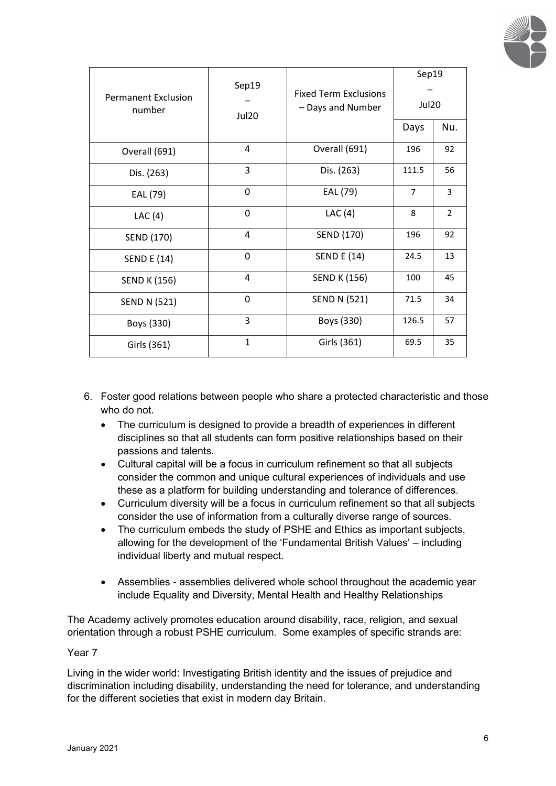

| <b>Permanent Exclusion</b> | Sep19        | <b>Fixed Term Exclusions</b> | Sep19 |                |
|----------------------------|--------------|------------------------------|-------|----------------|
| number                     | Jul20        | - Days and Number            | Jul20 |                |
|                            |              |                              | Days  | Nu.            |
| Overall (691)              | 4            | Overall (691)                | 196   | 92             |
| Dis. (263)                 | 3            | Dis. (263)                   | 111.5 | 56             |
| EAL (79)                   | 0            | EAL (79)                     | 7     | 3              |
| LAC $(4)$                  | 0            | LAC(4)                       | 8     | $\overline{2}$ |
| SEND (170)                 | 4            | SEND (170)                   | 196   | 92             |
| <b>SEND E (14)</b>         | $\Omega$     | <b>SEND E (14)</b>           | 24.5  | 13             |
| <b>SEND K (156)</b>        | 4            | <b>SEND K (156)</b>          | 100   | 45             |
| <b>SEND N (521)</b>        | 0            | <b>SEND N (521)</b>          | 71.5  | 34             |
| Boys (330)                 | 3            | Boys (330)                   | 126.5 | 57             |
| Girls (361)                | $\mathbf{1}$ | Girls (361)                  | 69.5  | 35             |

- 6. Foster good relations between people who share a protected characteristic and those who do not.
	- The curriculum is designed to provide a breadth of experiences in different disciplines so that all students can form positive relationships based on their passions and talents.
	- Cultural capital will be a focus in curriculum refinement so that all subjects consider the common and unique cultural experiences of individuals and use these as a platform for building understanding and tolerance of differences.
	- Curriculum diversity will be a focus in curriculum refinement so that all subjects consider the use of information from a culturally diverse range of sources.
	- The curriculum embeds the study of PSHE and Ethics as important subjects, allowing for the development of the 'Fundamental British Values' – including individual liberty and mutual respect.
	- Assemblies assemblies delivered whole school throughout the academic year include Equality and Diversity, Mental Health and Healthy Relationships

The Academy actively promotes education around disability, race, religion, and sexual orientation through a robust PSHE curriculum. Some examples of specific strands are:

## Year 7

Living in the wider world: Investigating British identity and the issues of prejudice and discrimination including disability, understanding the need for tolerance, and understanding for the different societies that exist in modern day Britain.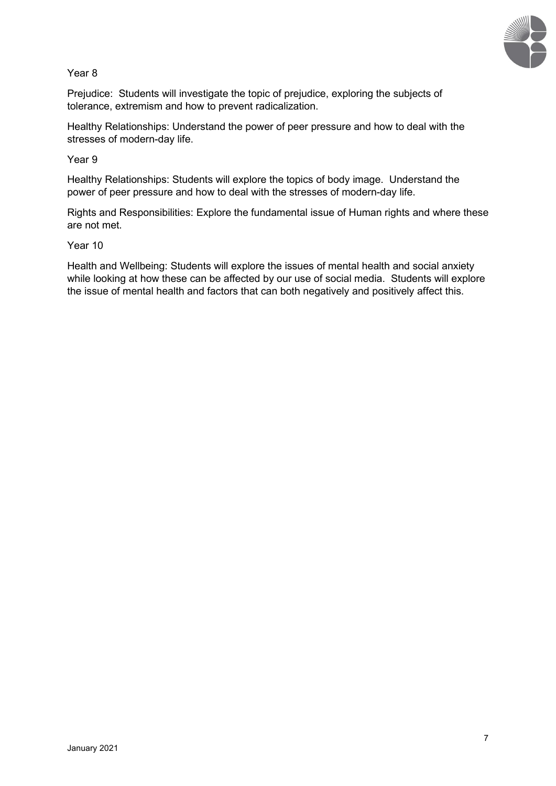

Year 8

Prejudice: Students will investigate the topic of prejudice, exploring the subjects of tolerance, extremism and how to prevent radicalization.

Healthy Relationships: Understand the power of peer pressure and how to deal with the stresses of modern-day life.

Year 9

Healthy Relationships: Students will explore the topics of body image. Understand the power of peer pressure and how to deal with the stresses of modern-day life.

Rights and Responsibilities: Explore the fundamental issue of Human rights and where these are not met.

#### Year 10

Health and Wellbeing: Students will explore the issues of mental health and social anxiety while looking at how these can be affected by our use of social media. Students will explore the issue of mental health and factors that can both negatively and positively affect this.